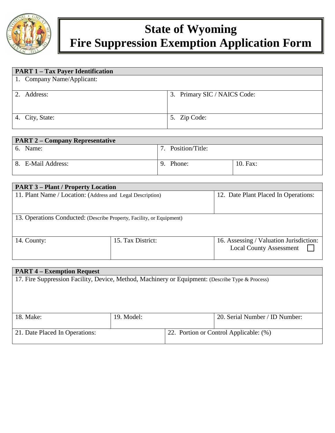

# **State of Wyoming Fire Suppression Exemption Application Form**

| <b>PART 1 – Tax Payer Identification</b> |                                 |
|------------------------------------------|---------------------------------|
| 1. Company Name/Applicant:               |                                 |
|                                          |                                 |
| 2. Address:                              | Primary SIC / NAICS Code:<br>3. |
|                                          |                                 |
|                                          |                                 |
| 4. City, State:                          | 5. Zip Code:                    |
|                                          |                                 |

| <b>PART 2 – Company Representative</b> |                 |          |  |  |
|----------------------------------------|-----------------|----------|--|--|
| 6. Name:                               | Position/Title: |          |  |  |
|                                        |                 |          |  |  |
| 8. E-Mail Address:                     | Phone:<br>9     | 10. Fax: |  |  |
|                                        |                 |          |  |  |

| <b>PART 3 – Plant / Property Location</b>                             |                   |                                                                           |  |  |  |  |
|-----------------------------------------------------------------------|-------------------|---------------------------------------------------------------------------|--|--|--|--|
| 11. Plant Name / Location: (Address and Legal Description)            |                   | 12. Date Plant Placed In Operations:                                      |  |  |  |  |
|                                                                       |                   |                                                                           |  |  |  |  |
| 13. Operations Conducted: (Describe Property, Facility, or Equipment) |                   |                                                                           |  |  |  |  |
| 14. County:                                                           | 15. Tax District: | 16. Assessing / Valuation Jurisdiction:<br><b>Local County Assessment</b> |  |  |  |  |

| <b>PART 4 – Exemption Request</b>                                                                |            |                                        |                                |  |  |  |
|--------------------------------------------------------------------------------------------------|------------|----------------------------------------|--------------------------------|--|--|--|
| 17. Fire Suppression Facility, Device, Method, Machinery or Equipment: (Describe Type & Process) |            |                                        |                                |  |  |  |
|                                                                                                  |            |                                        |                                |  |  |  |
|                                                                                                  |            |                                        |                                |  |  |  |
|                                                                                                  |            |                                        |                                |  |  |  |
|                                                                                                  |            |                                        |                                |  |  |  |
| 18. Make:                                                                                        | 19. Model: |                                        | 20. Serial Number / ID Number: |  |  |  |
|                                                                                                  |            |                                        |                                |  |  |  |
| 21. Date Placed In Operations:                                                                   |            | 22. Portion or Control Applicable: (%) |                                |  |  |  |
|                                                                                                  |            |                                        |                                |  |  |  |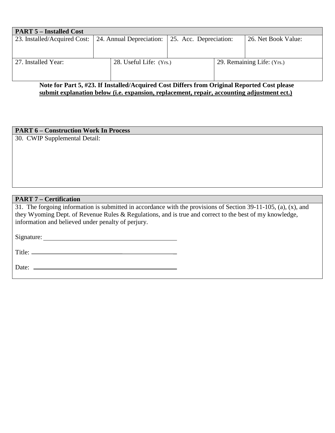|                         | 23. Installed/Acquired Cost: 24. Annual Depreciation: 25. Acc. Depreciation:                                                                                                                                                                                                                                                       |                            | 26. Net Book Value:                                                                      |
|-------------------------|------------------------------------------------------------------------------------------------------------------------------------------------------------------------------------------------------------------------------------------------------------------------------------------------------------------------------------|----------------------------|------------------------------------------------------------------------------------------|
|                         |                                                                                                                                                                                                                                                                                                                                    |                            |                                                                                          |
|                         |                                                                                                                                                                                                                                                                                                                                    |                            |                                                                                          |
| 28. Useful Life: (Yrs.) |                                                                                                                                                                                                                                                                                                                                    | 29. Remaining Life: (Yrs.) |                                                                                          |
|                         |                                                                                                                                                                                                                                                                                                                                    |                            |                                                                                          |
|                         |                                                                                                                                                                                                                                                                                                                                    |                            |                                                                                          |
|                         | $\mathbf{M}$ $\mathbf{A}$ $\mathbf{B}$ $\mathbf{A}$ $\mathbf{B}$ $\mathbf{A}$ $\mathbf{B}$ $\mathbf{A}$ $\mathbf{B}$ $\mathbf{B}$ $\mathbf{A}$ $\mathbf{B}$ $\mathbf{B}$ $\mathbf{A}$ $\mathbf{B}$ $\mathbf{B}$ $\mathbf{B}$ $\mathbf{B}$ $\mathbf{A}$ $\mathbf{B}$ $\mathbf{B}$ $\mathbf{B}$ $\mathbf{B}$ $\mathbf{B}$ $\mathbf{$ |                            | $\mathbf{1}$ $\alpha$ $\mathbf{1}$ $\mathbf{1}$<br>- 8<br>$\sim \cdot \cdot \cdot \cdot$ |

#### **Note for Part 5, #23. If Installed/Acquired Cost Differs from Original Reported Cost please submit explanation below (i.e. expansion, replacement, repair, accounting adjustment ect.)**

# **PART 6 – Construction Work In Process**

30. CWIP Supplemental Detail:

### **PART 7 – Certification**

31. The forgoing information is submitted in accordance with the provisions of Section 39-11-105, (a), (x), and they Wyoming Dept. of Revenue Rules & Regulations, and is true and correct to the best of my knowledge, information and believed under penalty of perjury.

Signature:

Title:

Date: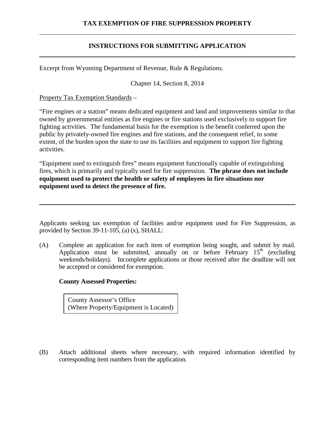# **TAX EXEMPTION OF FIRE SUPPRESSION PROPERTY**

# **INSTRUCTIONS FOR SUBMITTING APPLICATION**

Excerpt from Wyoming Department of Revenue, Rule & Regulations.

Chapter 14, Section 8, 2014

Property Tax Exemption Standards –

"Fire engines or a station" means dedicated equipment and land and improvements similar to that owned by governmental entities as fire engines or fire stations used exclusively to support fire fighting activities. The fundamental basis for the exemption is the benefit conferred upon the public by privately-owned fire engines and fire stations, and the consequent relief, to some extent, of the burden upon the state to use its facilities and equipment to support fire fighting activities.

"Equipment used to extinguish fires" means equipment functionally capable of extinguishing fires, which is primarily and typically used for fire suppression. **The phrase does not include equipment used to protect the health or safety of employees in fire situations nor equipment used to detect the presence of fire.** 

Applicants seeking tax exemption of facilities and/or equipment used for Fire Suppression, as provided by Section 39-11-105, (a) (x), SHALL:

(A) Complete an application for each item of exemption being sought, and submit by mail. Application must be submitted, annually on or before February  $15<sup>th</sup>$  (excluding weekends/holidays). Incomplete applications or those received after the deadline will not be accepted or considered for exemption.

#### **County Assessed Properties:**

County Assessor's Office (Where Property/Equipment is Located)

(B) Attach additional sheets where necessary, with required information identified by corresponding item numbers from the application.